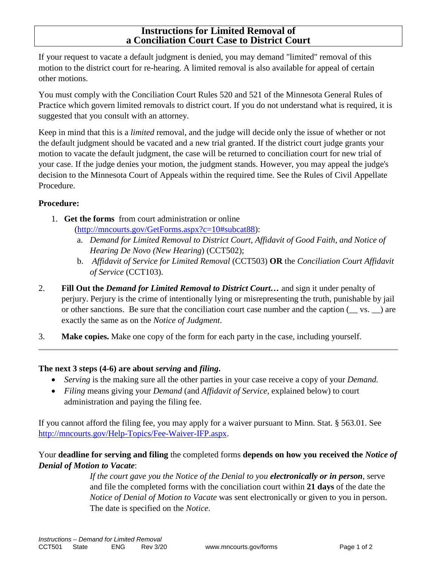#### **Instructions for Limited Removal of a Conciliation Court Case to District Court**

If your request to vacate a default judgment is denied, you may demand "limited" removal of this motion to the district court for re-hearing. A limited removal is also available for appeal of certain other motions.

You must comply with the Conciliation Court Rules 520 and 521 of the Minnesota General Rules of Practice which govern limited removals to district court. If you do not understand what is required, it is suggested that you consult with an attorney.

Keep in mind that this is a *limited* removal, and the judge will decide only the issue of whether or not the default judgment should be vacated and a new trial granted. If the district court judge grants your motion to vacate the default judgment, the case will be returned to conciliation court for new trial of your case. If the judge denies your motion, the judgment stands. However, you may appeal the judge's decision to the Minnesota Court of Appeals within the required time. See the Rules of Civil Appellate Procedure.

# **Procedure:**

- 1. **Get the forms** from court administration or online [\(http://mncourts.gov/GetForms.aspx?c=10#subcat88\)](http://mncourts.gov/GetForms.aspx?c=10#subcat88):
	- a. *Demand for Limited Removal to District Court, Affidavit of Good Faith, and Notice of Hearing De Novo (New Hearing*) (CCT502);
	- b. *Affidavit of Service for Limited Removal* (CCT503) **OR** the *Conciliation Court Affidavit of Service* (CCT103).
- 2. **Fill Out the** *Demand for Limited Removal to District Court…* and sign it under penalty of perjury. Perjury is the crime of intentionally lying or misrepresenting the truth, punishable by jail or other sanctions. Be sure that the conciliation court case number and the caption (\_\_ vs. \_\_) are exactly the same as on the *Notice of Judgment*.
- 3. **Make copies.** Make one copy of the form for each party in the case, including yourself.

#### **The next 3 steps (4-6) are about** *serving* **and** *filing***.**

- *Serving* is the making sure all the other parties in your case receive a copy of your *Demand.*
- *Filing* means giving your *Demand* (and *Affidavit of Service,* explained below) to court administration and paying the filing fee.

If you cannot afford the filing fee, you may apply for a waiver pursuant to Minn. Stat. § 563.01. See [http://mncourts.gov/Help-Topics/Fee-Waiver-IFP.aspx.](http://mncourts.gov/Help-Topics/Fee-Waiver-IFP.aspx)

# Your **deadline for serving and filing** the completed forms **depends on how you received the** *Notice of Denial of Motion to Vacate*:

*If the court gave you the Notice of the Denial to you electronically or in person*, serve and file the completed forms with the conciliation court within **21 days** of the date the *Notice of Denial of Motion to Vacate* was sent electronically or given to you in person. The date is specified on the *Notice*.